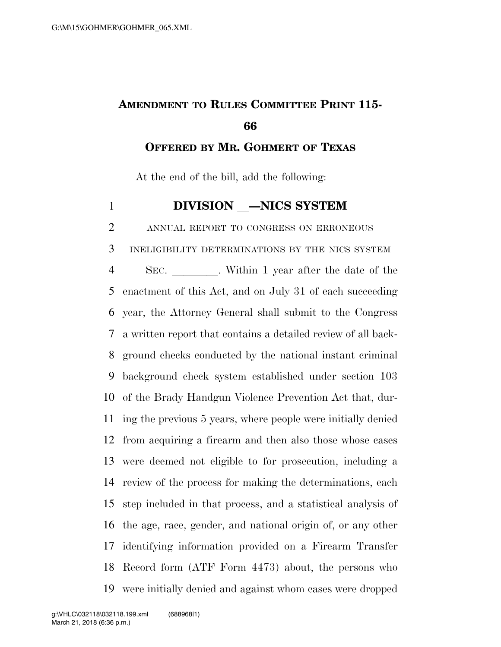## **AMENDMENT TO RULES COMMITTEE PRINT 115-**

**OFFERED BY MR. GOHMERT OF TEXAS**

At the end of the bill, add the following:

**DIVISION** —NICS SYSTEM

ANNUAL REPORT TO CONGRESS ON ERRONEOUS

 INELIGIBILITY DETERMINATIONS BY THE NICS SYSTEM 4 SEC. Within 1 year after the date of the enactment of this Act, and on July 31 of each succeeding year, the Attorney General shall submit to the Congress a written report that contains a detailed review of all back- ground checks conducted by the national instant criminal background check system established under section 103 of the Brady Handgun Violence Prevention Act that, dur- ing the previous 5 years, where people were initially denied from acquiring a firearm and then also those whose cases were deemed not eligible to for prosecution, including a review of the process for making the determinations, each step included in that process, and a statistical analysis of the age, race, gender, and national origin of, or any other identifying information provided on a Firearm Transfer Record form (ATF Form 4473) about, the persons who were initially denied and against whom cases were dropped